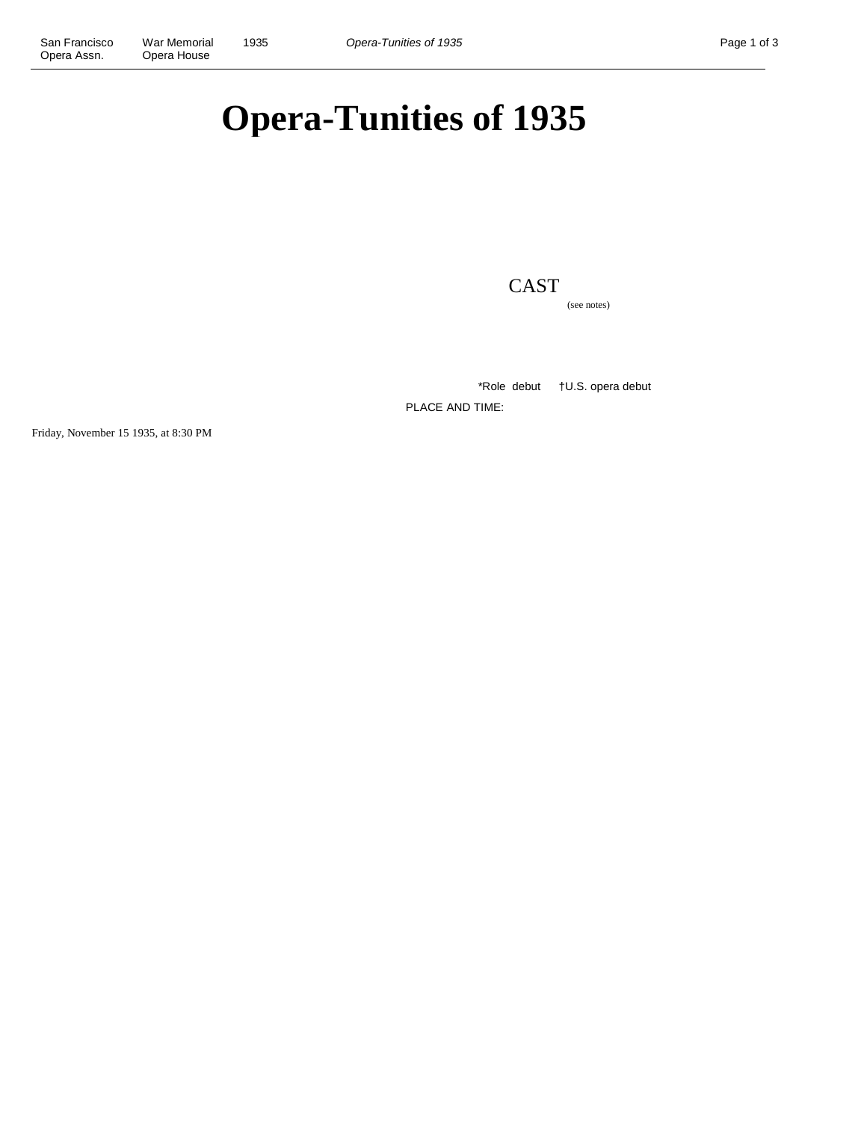# **Opera-Tunities of 1935**

## CAST

(see notes)

\*Role debut †U.S. opera debut

PLACE AND TIME:

Friday, November 15 1935, at 8:30 PM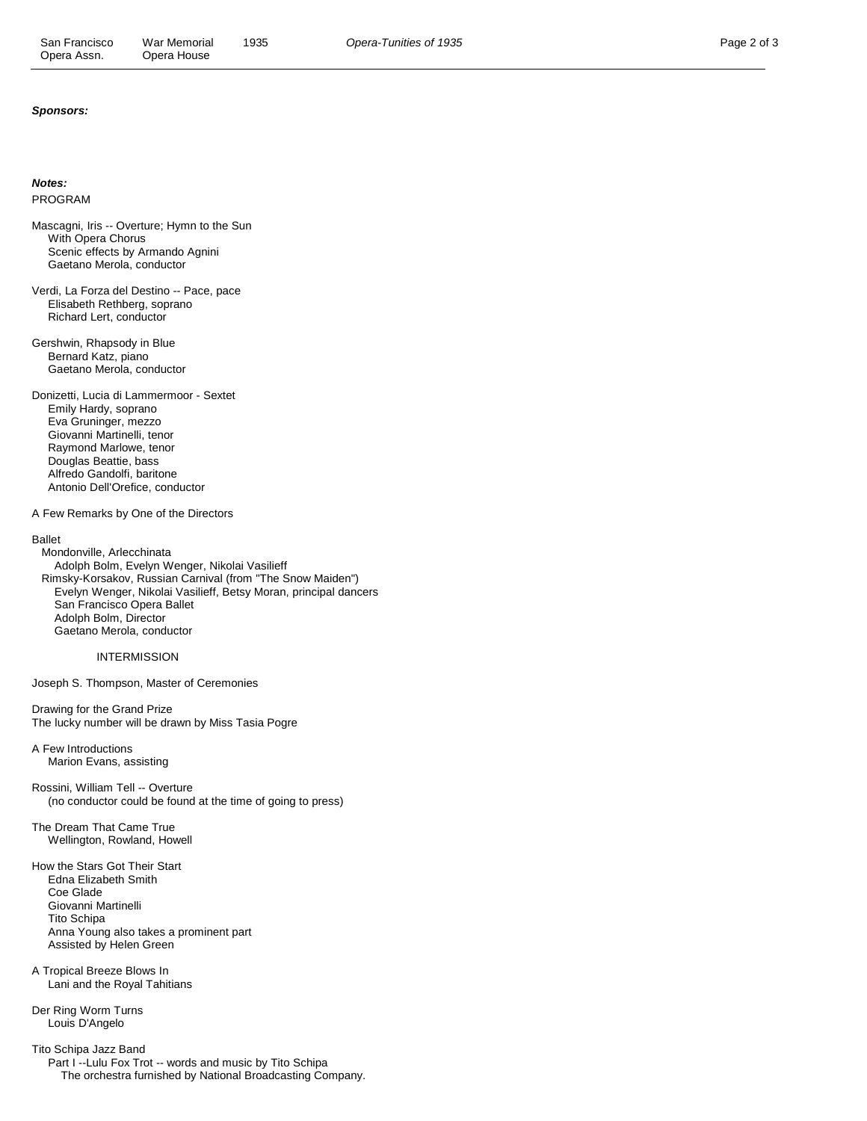#### **Sponsors:**

#### **Notes:**

PROGRAM

Mascagni, Iris -- Overture; Hymn to the Sun With Opera Chorus Scenic effects by Armando Agnini Gaetano Merola, conductor

- Verdi, La Forza del Destino -- Pace, pace Elisabeth Rethberg, soprano Richard Lert, conductor
- Gershwin, Rhapsody in Blue Bernard Katz, piano Gaetano Merola, conductor

Donizetti, Lucia di Lammermoor - Sextet Emily Hardy, soprano Eva Gruninger, mezzo Giovanni Martinelli, tenor Raymond Marlowe, tenor Douglas Beattie, bass Alfredo Gandolfi, baritone Antonio Dell'Orefice, conductor

A Few Remarks by One of the Directors

#### Ballet

 Mondonville, Arlecchinata Adolph Bolm, Evelyn Wenger, Nikolai Vasilieff Rimsky-Korsakov, Russian Carnival (from "The Snow Maiden") Evelyn Wenger, Nikolai Vasilieff, Betsy Moran, principal dancers San Francisco Opera Ballet Adolph Bolm, Director Gaetano Merola, conductor

### INTERMISSION

Joseph S. Thompson, Master of Ceremonies

Drawing for the Grand Prize The lucky number will be drawn by Miss Tasia Pogre

A Few Introductions Marion Evans, assisting

Rossini, William Tell -- Overture (no conductor could be found at the time of going to press)

The Dream That Came True Wellington, Rowland, Howell

How the Stars Got Their Start Edna Elizabeth Smith Coe Glade Giovanni Martinelli Tito Schipa Anna Young also takes a prominent part Assisted by Helen Green

A Tropical Breeze Blows In Lani and the Royal Tahitians

Der Ring Worm Turns Louis D'Angelo

Tito Schipa Jazz Band Part I -- Lulu Fox Trot -- words and music by Tito Schipa The orchestra furnished by National Broadcasting Company.